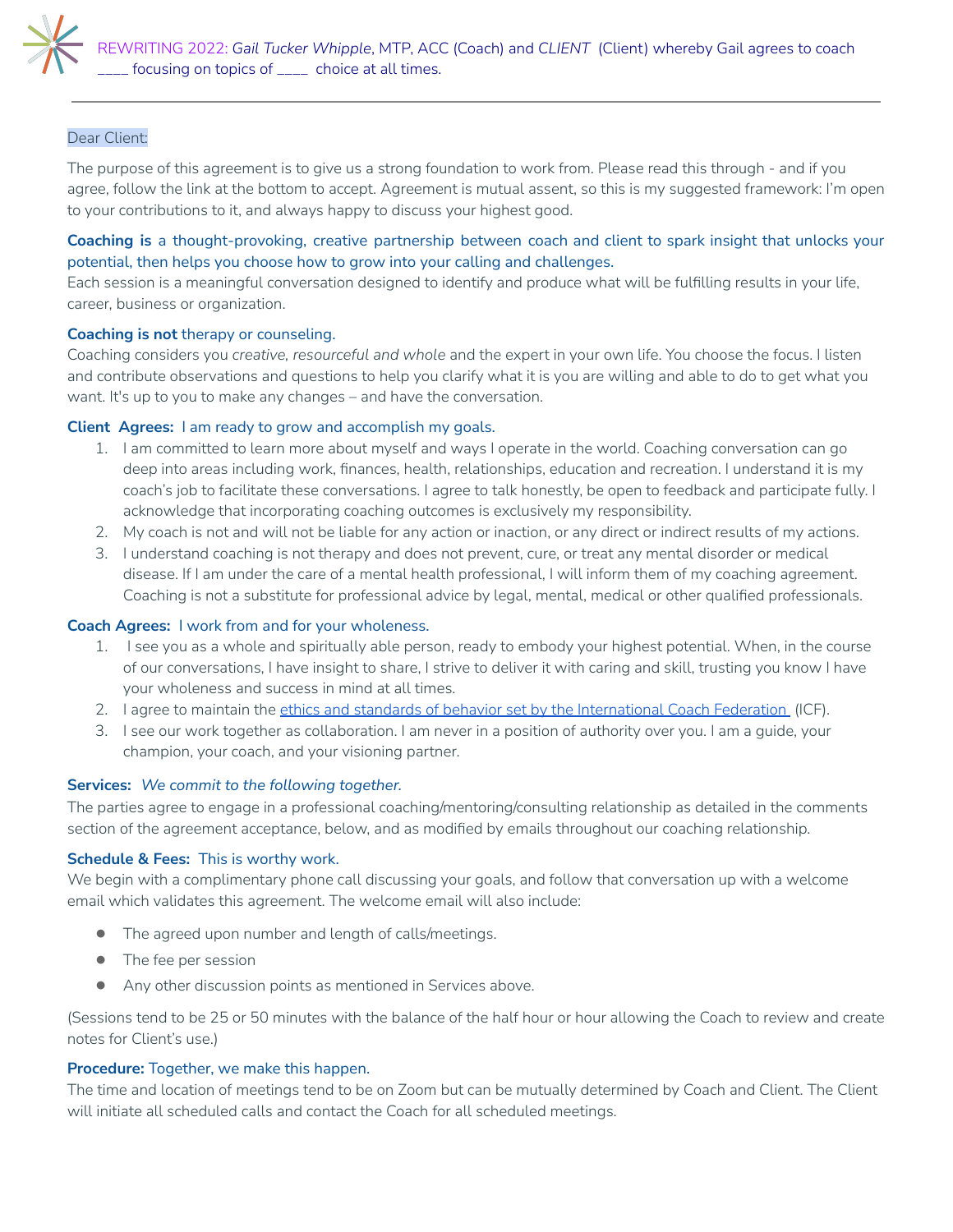

# Dear Client:

The purpose of this agreement is to give us a strong foundation to work from. Please read this through - and if you agree, follow the link at the bottom to accept. Agreement is mutual assent, so this is my suggested framework: I'm open to your contributions to it, and always happy to discuss your highest good.

# **Coaching is** a thought-provoking, creative partnership between coach and client to spark insight that unlocks your potential, then helps you choose how to grow into your calling and challenges.

Each session is a meaningful conversation designed to identify and produce what will be fulfilling results in your life, career, business or organization.

#### **Coaching is not** therapy or counseling.

Coaching considers you *creative, resourceful and whole* and the expert in your own life. You choose the focus. I listen and contribute observations and questions to help you clarify what it is you are willing and able to do to get what you want. It's up to you to make any changes – and have the conversation.

### **Client Agrees:** I am ready to grow and accomplish my goals.

- 1. I am committed to learn more about myself and ways I operate in the world. Coaching conversation can go deep into areas including work, finances, health, relationships, education and recreation. I understand it is my coach's job to facilitate these conversations. I agree to talk honestly, be open to feedback and participate fully. I acknowledge that incorporating coaching outcomes is exclusively my responsibility.
- 2. My coach is not and will not be liable for any action or inaction, or any direct or indirect results of my actions.
- 3. I understand coaching is not therapy and does not prevent, cure, or treat any mental disorder or medical disease. If I am under the care of a mental health professional, I will inform them of my coaching agreement. Coaching is not a substitute for professional advice by legal, mental, medical or other qualified professionals.

### **Coach Agrees:** I work from and for your wholeness.

- 1. I see you as a whole and spiritually able person, ready to embody your highest potential. When, in the course of our conversations, I have insight to share, I strive to deliver it with caring and skill, trusting you know I have your wholeness and success in mind at all times.
- 2. I agree to maintain the ethics and standards of behavior set by the [International](http://coachfederation.org/about/ethics.aspx?ItemNumber=854) Coach Federation (ICF).
- 3. I see our work together as collaboration. I am never in a position of authority over you. I am a guide, your champion, your coach, and your visioning partner.

### **Services:** *We commit to the following together.*

The parties agree to engage in a professional coaching/mentoring/consulting relationship as detailed in the comments section of the agreement acceptance, below, and as modified by emails throughout our coaching relationship.

### **Schedule & Fees:** This is worthy work.

We begin with a complimentary phone call discussing your goals, and follow that conversation up with a welcome email which validates this agreement. The welcome email will also include:

- The agreed upon number and length of calls/meetings.
- The fee per session
- Any other discussion points as mentioned in Services above.

(Sessions tend to be 25 or 50 minutes with the balance of the half hour or hour allowing the Coach to review and create notes for Client's use.)

### **Procedure:** Together, we make this happen.

The time and location of meetings tend to be on Zoom but can be mutually determined by Coach and Client. The Client will initiate all scheduled calls and contact the Coach for all scheduled meetings.